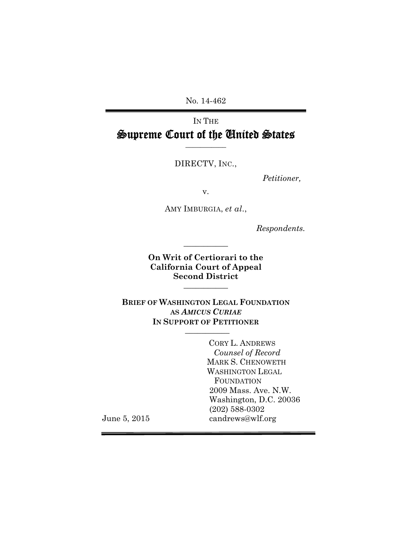No. 14-462

# IN THE Supreme Court of the United States

DIRECTV, INC.,

**\_\_\_\_\_\_\_\_\_\_\_** 

 *Petitioner,* 

v.

AMY IMBURGIA, *et al*.,

*Respondents.* 

**On Writ of Certiorari to the California Court of Appeal Second District \_\_\_\_\_\_\_\_\_\_\_** 

**\_\_\_\_\_\_\_\_\_\_\_**

**BRIEF OF WASHINGTON LEGAL FOUNDATION AS** *AMICUS CURIAE*  **IN SUPPORT OF PETITIONER \_\_\_\_\_\_\_\_\_\_\_** 

> CORY L. ANDREWS  *Counsel of Record* MARK S. CHENOWETH WASHINGTON LEGAL FOUNDATION 2009 Mass. Ave. N.W. Washington, D.C. 20036 (202) 588-0302 candrews@wlf.org

June 5, 2015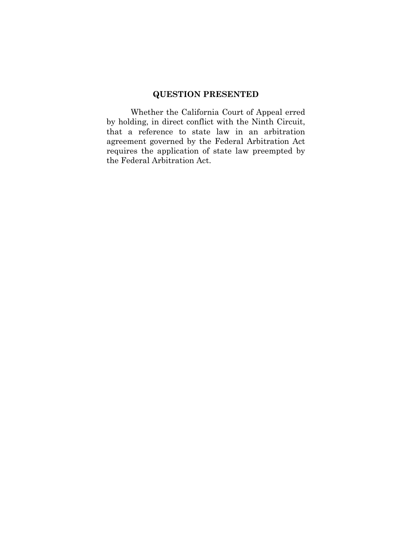# **QUESTION PRESENTED**

Whether the California Court of Appeal erred by holding, in direct conflict with the Ninth Circuit, that a reference to state law in an arbitration agreement governed by the Federal Arbitration Act requires the application of state law preempted by the Federal Arbitration Act.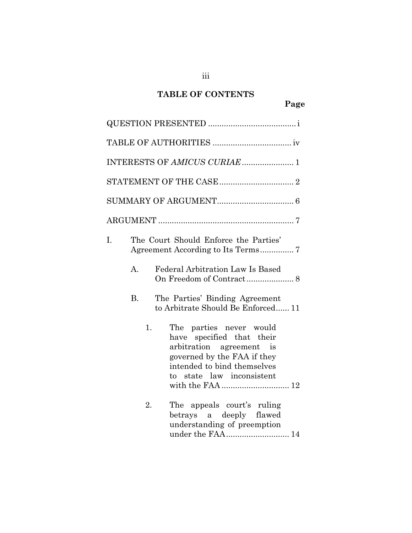# **TABLE OF CONTENTS**

|    | INTERESTS OF AMICUS CURIAE  1                                                                                                                                                     |
|----|-----------------------------------------------------------------------------------------------------------------------------------------------------------------------------------|
|    |                                                                                                                                                                                   |
|    |                                                                                                                                                                                   |
|    |                                                                                                                                                                                   |
| I. | The Court Should Enforce the Parties'                                                                                                                                             |
|    | Federal Arbitration Law Is Based<br>$\mathbf{A}$ .                                                                                                                                |
|    | <b>B.</b><br>The Parties' Binding Agreement<br>to Arbitrate Should Be Enforced 11                                                                                                 |
|    | 1.<br>The parties never would<br>have specified that their<br>arbitration agreement is<br>governed by the FAA if they<br>intended to bind themselves<br>to state law inconsistent |
|    | The appeals court's ruling<br>2.<br>betrays a deeply flawed<br>understanding of preemption<br>under the FAA  14                                                                   |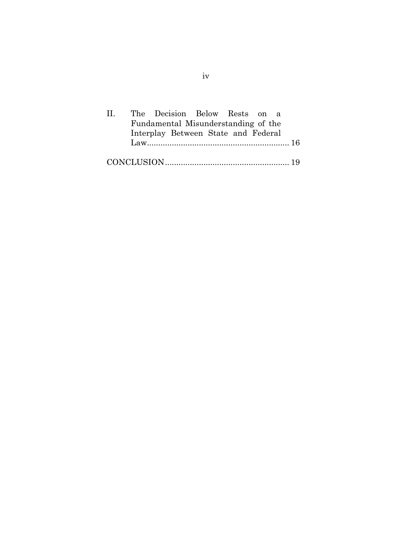| $\mathbf{H}$ |                                     |  | The Decision Below Rests on a       |  |  |  |  |  |  |
|--------------|-------------------------------------|--|-------------------------------------|--|--|--|--|--|--|
|              | Fundamental Misunderstanding of the |  |                                     |  |  |  |  |  |  |
|              |                                     |  | Interplay Between State and Federal |  |  |  |  |  |  |
|              |                                     |  |                                     |  |  |  |  |  |  |
|              |                                     |  |                                     |  |  |  |  |  |  |
|              |                                     |  |                                     |  |  |  |  |  |  |

iv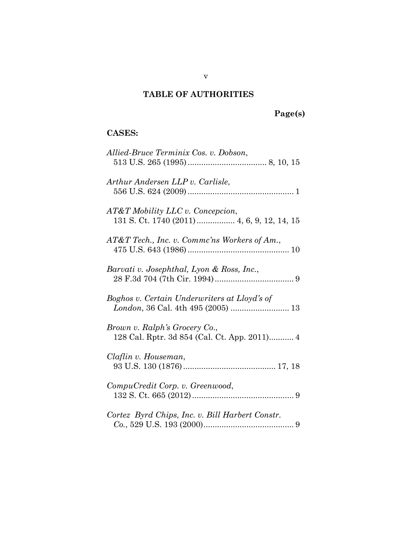# **TABLE OF AUTHORITIES**

# **Page(s)**

# **CASES:**

| Allied-Bruce Terminix Cos. v. Dobson,           |
|-------------------------------------------------|
| Arthur Andersen LLP v. Carlisle,                |
| AT&T Mobility LLC v. Concepcion,                |
| AT&T Tech., Inc. v. Commc'ns Workers of Am.,    |
| Barvati v. Josephthal, Lyon & Ross, Inc.,       |
| Boghos v. Certain Underwriters at Lloyd's of    |
| Brown v. Ralph's Grocery Co.,                   |
| Claflin v. Houseman,                            |
| CompuCredit Corp. v. Greenwood,                 |
| Cortez Byrd Chips, Inc. v. Bill Harbert Constr. |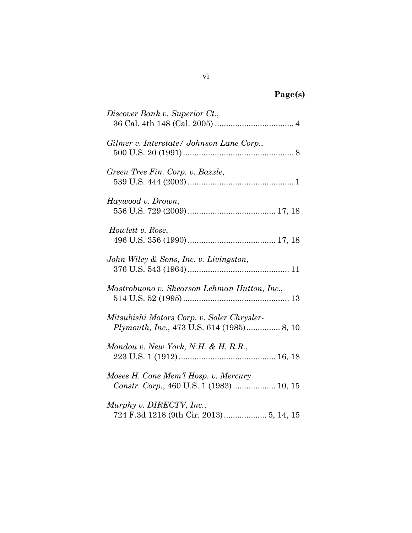| σeι<br>ч | - |
|----------|---|
|          |   |

| Discover Bank v. Superior Ct.,                                                                 |
|------------------------------------------------------------------------------------------------|
| Gilmer v. Interstate/ Johnson Lane Corp.,                                                      |
| Green Tree Fin. Corp. v. Bazzle,                                                               |
| Haywood v. Drown,                                                                              |
| Howlett v. Rose,                                                                               |
| John Wiley & Sons, Inc. v. Livingston,                                                         |
| Mastrobuono v. Shearson Lehman Hutton, Inc.,                                                   |
| Mitsubishi Motors Corp. v. Soler Chrysler-<br><i>Plymouth, Inc., 473 U.S. 614 (1985)</i> 8, 10 |
| Mondou v. New York, N.H. & H. R.R.,                                                            |
| Moses H. Cone Mem'l Hosp. v. Mercury<br>Constr. Corp., 460 U.S. 1 (1983)  10, 15               |
| Murphy v. DIRECTV, Inc.,                                                                       |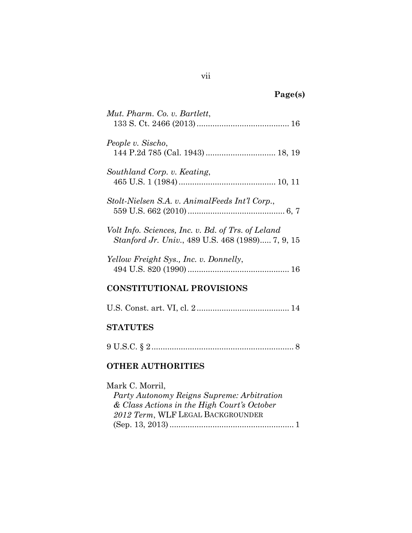| D | ا من<br>э, |
|---|------------|
|   |            |

| Mut. Pharm. Co. v. Bartlett,                                                                                                                      |
|---------------------------------------------------------------------------------------------------------------------------------------------------|
| People v. Sischo,<br>144 P.2d 785 (Cal. 1943)  18, 19                                                                                             |
| Southland Corp. v. Keating,                                                                                                                       |
| Stolt-Nielsen S.A. v. AnimalFeeds Int'l Corp.,                                                                                                    |
| Volt Info. Sciences, Inc. v. Bd. of Trs. of Leland<br>Stanford Jr. Univ., 489 U.S. 468 (1989) 7, 9, 15                                            |
| Yellow Freight Sys., Inc. v. Donnelly,                                                                                                            |
| <b>CONSTITUTIONAL PROVISIONS</b>                                                                                                                  |
|                                                                                                                                                   |
| <b>STATUTES</b>                                                                                                                                   |
|                                                                                                                                                   |
| <b>OTHER AUTHORITIES</b>                                                                                                                          |
| Mark C. Morril,<br>Party Autonomy Reigns Supreme: Arbitration<br>& Class Actions in the High Court's October<br>2012 Term, WLF LEGAL BACKGROUNDER |

(Sep. 13, 2013) ....................................................... 1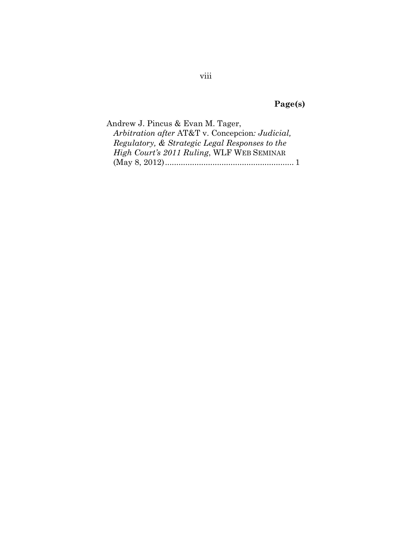# **Page(s)**

| Andrew J. Pincus & Evan M. Tager,               |  |
|-------------------------------------------------|--|
| Arbitration after AT&T v. Concepcion: Judicial, |  |
| Regulatory, & Strategic Legal Responses to the  |  |
| High Court's 2011 Ruling, WLF WEB SEMINAR       |  |
|                                                 |  |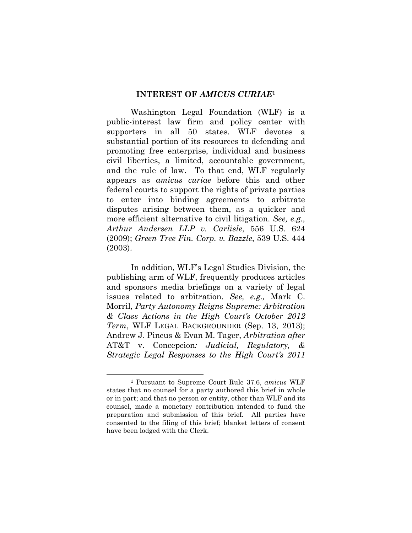#### **INTEREST OF** *AMICUS CURIAE***<sup>1</sup>**

Washington Legal Foundation (WLF) is a public-interest law firm and policy center with supporters in all 50 states. WLF devotes a substantial portion of its resources to defending and promoting free enterprise, individual and business civil liberties, a limited, accountable government, and the rule of law. To that end, WLF regularly appears as *amicus curiae* before this and other federal courts to support the rights of private parties to enter into binding agreements to arbitrate disputes arising between them, as a quicker and more efficient alternative to civil litigation. *See, e.g., Arthur Andersen LLP v. Carlisle*, 556 U.S. 624 (2009); *Green Tree Fin. Corp. v. Bazzle*, 539 U.S. 444 (2003).

In addition, WLF's Legal Studies Division, the publishing arm of WLF, frequently produces articles and sponsors media briefings on a variety of legal issues related to arbitration. *See, e.g.,* Mark C. Morril, *Party Autonomy Reigns Supreme: Arbitration & Class Actions in the High Court's October 2012 Term*, WLF LEGAL BACKGROUNDER (Sep. 13, 2013); Andrew J. Pincus & Evan M. Tager, *Arbitration after*  AT&T v. Concepcion*: Judicial, Regulatory, & Strategic Legal Responses to the High Court's 2011* 

 $\overline{a}$ 

**<sup>1</sup>** Pursuant to Supreme Court Rule 37.6, *amicus* WLF states that no counsel for a party authored this brief in whole or in part; and that no person or entity, other than WLF and its counsel, made a monetary contribution intended to fund the preparation and submission of this brief. All parties have consented to the filing of this brief; blanket letters of consent have been lodged with the Clerk.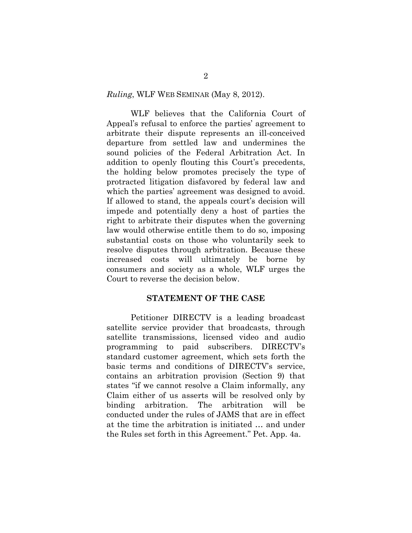#### *Ruling*, WLF WEB SEMINAR (May 8, 2012).

WLF believes that the California Court of Appeal's refusal to enforce the parties' agreement to arbitrate their dispute represents an ill-conceived departure from settled law and undermines the sound policies of the Federal Arbitration Act. In addition to openly flouting this Court's precedents, the holding below promotes precisely the type of protracted litigation disfavored by federal law and which the parties' agreement was designed to avoid. If allowed to stand, the appeals court's decision will impede and potentially deny a host of parties the right to arbitrate their disputes when the governing law would otherwise entitle them to do so, imposing substantial costs on those who voluntarily seek to resolve disputes through arbitration. Because these increased costs will ultimately be borne by consumers and society as a whole, WLF urges the Court to reverse the decision below.

#### **STATEMENT OF THE CASE**

 Petitioner DIRECTV is a leading broadcast satellite service provider that broadcasts, through satellite transmissions, licensed video and audio programming to paid subscribers. DIRECTV's standard customer agreement, which sets forth the basic terms and conditions of DIRECTV's service, contains an arbitration provision (Section 9) that states "if we cannot resolve a Claim informally, any Claim either of us asserts will be resolved only by binding arbitration. The arbitration will be conducted under the rules of JAMS that are in effect at the time the arbitration is initiated … and under the Rules set forth in this Agreement." Pet. App. 4a.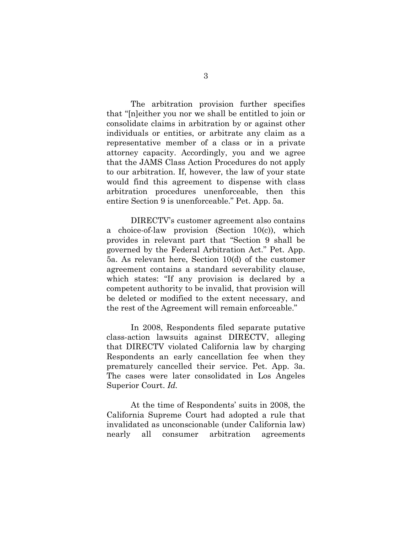The arbitration provision further specifies that "[n]either you nor we shall be entitled to join or consolidate claims in arbitration by or against other individuals or entities, or arbitrate any claim as a representative member of a class or in a private attorney capacity. Accordingly, you and we agree that the JAMS Class Action Procedures do not apply to our arbitration. If, however, the law of your state would find this agreement to dispense with class arbitration procedures unenforceable, then this entire Section 9 is unenforceable." Pet. App. 5a.

 DIRECTV's customer agreement also contains a choice-of-law provision (Section 10(c)), which provides in relevant part that "Section 9 shall be governed by the Federal Arbitration Act." Pet. App. 5a. As relevant here, Section 10(d) of the customer agreement contains a standard severability clause, which states: "If any provision is declared by a competent authority to be invalid, that provision will be deleted or modified to the extent necessary, and the rest of the Agreement will remain enforceable."

 In 2008, Respondents filed separate putative class-action lawsuits against DIRECTV, alleging that DIRECTV violated California law by charging Respondents an early cancellation fee when they prematurely cancelled their service. Pet. App. 3a. The cases were later consolidated in Los Angeles Superior Court. *Id.* 

At the time of Respondents' suits in 2008, the California Supreme Court had adopted a rule that invalidated as unconscionable (under California law) nearly all consumer arbitration agreements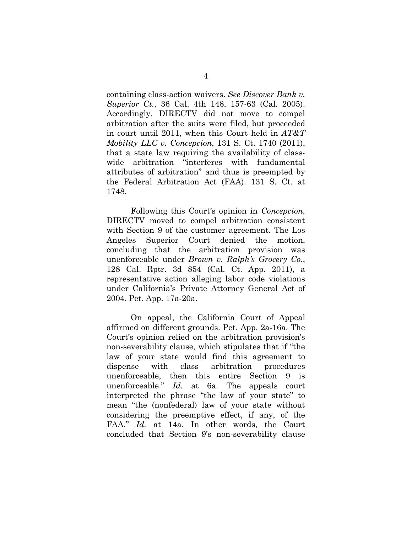containing class-action waivers. *See Discover Bank v. Superior Ct.*, 36 Cal. 4th 148, 157-63 (Cal. 2005). Accordingly, DIRECTV did not move to compel arbitration after the suits were filed, but proceeded in court until 2011, when this Court held in *AT&T Mobility LLC v. Concepcion*, 131 S. Ct. 1740 (2011), that a state law requiring the availability of classwide arbitration "interferes with fundamental attributes of arbitration" and thus is preempted by the Federal Arbitration Act (FAA). 131 S. Ct. at 1748.

 Following this Court's opinion in *Concepcion*, DIRECTV moved to compel arbitration consistent with Section 9 of the customer agreement. The Los Angeles Superior Court denied the motion, concluding that the arbitration provision was unenforceable under *Brown v. Ralph's Grocery Co*., 128 Cal. Rptr. 3d 854 (Cal. Ct. App. 2011), a representative action alleging labor code violations under California's Private Attorney General Act of 2004. Pet. App. 17a-20a.

 On appeal, the California Court of Appeal affirmed on different grounds. Pet. App. 2a-16a. The Court's opinion relied on the arbitration provision's non-severability clause, which stipulates that if "the law of your state would find this agreement to dispense with class arbitration procedures unenforceable, then this entire Section 9 is unenforceable." *Id.* at 6a. The appeals court interpreted the phrase "the law of your state" to mean "the (nonfederal) law of your state without considering the preemptive effect, if any, of the FAA." *Id.* at 14a. In other words, the Court concluded that Section 9's non-severability clause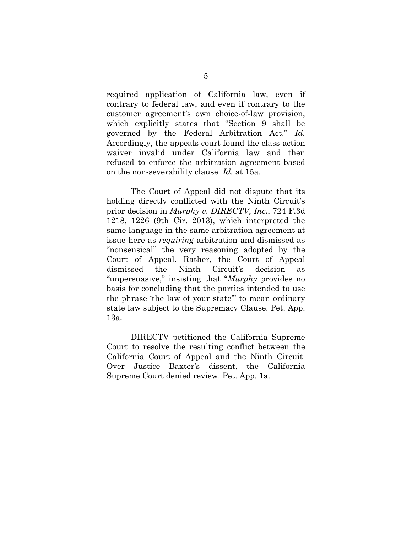required application of California law, even if contrary to federal law, and even if contrary to the customer agreement's own choice-of-law provision, which explicitly states that "Section 9 shall be governed by the Federal Arbitration Act." *Id.*  Accordingly, the appeals court found the class-action waiver invalid under California law and then refused to enforce the arbitration agreement based on the non-severability clause. *Id.* at 15a.

The Court of Appeal did not dispute that its holding directly conflicted with the Ninth Circuit's prior decision in *Murphy v. DIRECTV, Inc.*, 724 F.3d 1218, 1226 (9th Cir. 2013), which interpreted the same language in the same arbitration agreement at issue here as *requiring* arbitration and dismissed as "nonsensical" the very reasoning adopted by the Court of Appeal. Rather, the Court of Appeal dismissed the Ninth Circuit's decision as "unpersuasive," insisting that "*Murphy* provides no basis for concluding that the parties intended to use the phrase 'the law of your state'" to mean ordinary state law subject to the Supremacy Clause. Pet. App. 13a.

 DIRECTV petitioned the California Supreme Court to resolve the resulting conflict between the California Court of Appeal and the Ninth Circuit. Over Justice Baxter's dissent, the California Supreme Court denied review. Pet. App. 1a.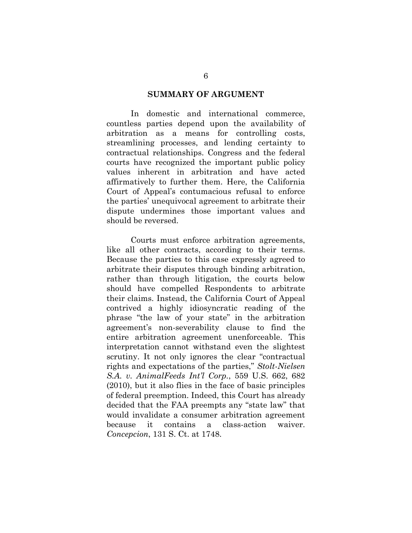#### **SUMMARY OF ARGUMENT**

 In domestic and international commerce, countless parties depend upon the availability of arbitration as a means for controlling costs, streamlining processes, and lending certainty to contractual relationships. Congress and the federal courts have recognized the important public policy values inherent in arbitration and have acted affirmatively to further them. Here, the California Court of Appeal's contumacious refusal to enforce the parties' unequivocal agreement to arbitrate their dispute undermines those important values and should be reversed.

Courts must enforce arbitration agreements, like all other contracts, according to their terms. Because the parties to this case expressly agreed to arbitrate their disputes through binding arbitration, rather than through litigation, the courts below should have compelled Respondents to arbitrate their claims. Instead, the California Court of Appeal contrived a highly idiosyncratic reading of the phrase "the law of your state" in the arbitration agreement's non-severability clause to find the entire arbitration agreement unenforceable. This interpretation cannot withstand even the slightest scrutiny. It not only ignores the clear "contractual rights and expectations of the parties," *Stolt-Nielsen S.A. v. AnimalFeeds Int'l Corp.*, 559 U.S. 662, 682 (2010), but it also flies in the face of basic principles of federal preemption. Indeed, this Court has already decided that the FAA preempts any "state law" that would invalidate a consumer arbitration agreement because it contains a class-action waiver. *Concepcion*, 131 S. Ct. at 1748.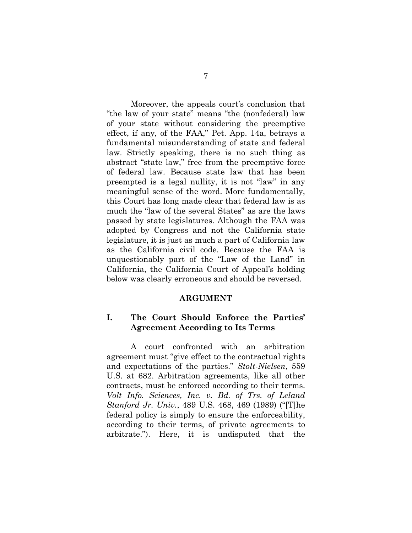Moreover, the appeals court's conclusion that "the law of your state" means "the (nonfederal) law of your state without considering the preemptive effect, if any, of the FAA," Pet. App. 14a, betrays a fundamental misunderstanding of state and federal law. Strictly speaking, there is no such thing as abstract "state law," free from the preemptive force of federal law. Because state law that has been preempted is a legal nullity, it is not "law" in any meaningful sense of the word. More fundamentally, this Court has long made clear that federal law is as much the "law of the several States" as are the laws passed by state legislatures. Although the FAA was adopted by Congress and not the California state legislature, it is just as much a part of California law as the California civil code. Because the FAA is unquestionably part of the "Law of the Land" in California, the California Court of Appeal's holding below was clearly erroneous and should be reversed.

#### **ARGUMENT**

#### **I. The Court Should Enforce the Parties' Agreement According to Its Terms**

A court confronted with an arbitration agreement must "give effect to the contractual rights and expectations of the parties." *Stolt-Nielsen*, 559 U.S. at 682. Arbitration agreements, like all other contracts, must be enforced according to their terms. *Volt Info. Sciences, Inc. v. Bd. of Trs. of Leland Stanford Jr. Univ.*, 489 U.S. 468, 469 (1989) ("[T]he federal policy is simply to ensure the enforceability, according to their terms, of private agreements to arbitrate."). Here, it is undisputed that the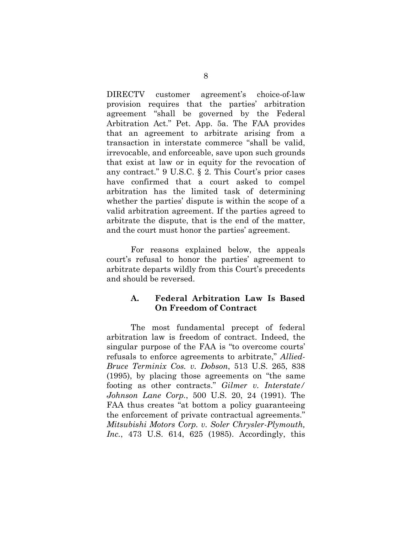DIRECTV customer agreement's choice-of-law provision requires that the parties' arbitration agreement "shall be governed by the Federal Arbitration Act." Pet. App. 5a. The FAA provides that an agreement to arbitrate arising from a transaction in interstate commerce "shall be valid, irrevocable, and enforceable, save upon such grounds that exist at law or in equity for the revocation of any contract." 9 U.S.C. § 2. This Court's prior cases have confirmed that a court asked to compel arbitration has the limited task of determining whether the parties' dispute is within the scope of a valid arbitration agreement. If the parties agreed to arbitrate the dispute, that is the end of the matter, and the court must honor the parties' agreement.

For reasons explained below, the appeals court's refusal to honor the parties' agreement to arbitrate departs wildly from this Court's precedents and should be reversed.

### **A. Federal Arbitration Law Is Based On Freedom of Contract**

 The most fundamental precept of federal arbitration law is freedom of contract. Indeed, the singular purpose of the FAA is "to overcome courts' refusals to enforce agreements to arbitrate," *Allied-Bruce Terminix Cos. v. Dobson*, 513 U.S. 265, 838 (1995), by placing those agreements on "the same footing as other contracts." *Gilmer v. Interstate/ Johnson Lane Corp.*, 500 U.S. 20, 24 (1991). The FAA thus creates "at bottom a policy guaranteeing the enforcement of private contractual agreements." *Mitsubishi Motors Corp. v. Soler Chrysler-Plymouth, Inc.*, 473 U.S. 614, 625 (1985). Accordingly, this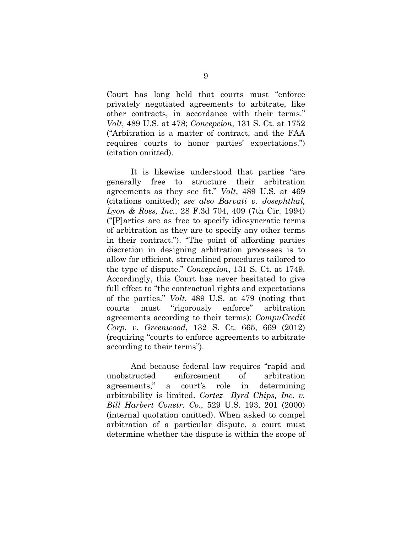Court has long held that courts must "enforce privately negotiated agreements to arbitrate, like other contracts, in accordance with their terms." *Volt*, 489 U.S. at 478; *Concepcion*, 131 S. Ct. at 1752 ("Arbitration is a matter of contract, and the FAA requires courts to honor parties' expectations.") (citation omitted).

 It is likewise understood that parties "are generally free to structure their arbitration agreements as they see fit." *Volt*, 489 U.S. at 469 (citations omitted); *see also Barvati v. Josephthal, Lyon & Ross, Inc.*, 28 F.3d 704, 409 (7th Cir. 1994) ("[P]arties are as free to specify idiosyncratic terms of arbitration as they are to specify any other terms in their contract."). "The point of affording parties discretion in designing arbitration processes is to allow for efficient, streamlined procedures tailored to the type of dispute." *Concepcion*, 131 S. Ct. at 1749. Accordingly, this Court has never hesitated to give full effect to "the contractual rights and expectations of the parties." *Volt*, 489 U.S. at 479 (noting that courts must "rigorously enforce" arbitration agreements according to their terms); *CompuCredit Corp. v. Greenwood*, 132 S. Ct. 665, 669 (2012) (requiring "courts to enforce agreements to arbitrate according to their terms").

 And because federal law requires "rapid and unobstructed enforcement of arbitration agreements," a court's role in determining arbitrability is limited. *Cortez Byrd Chips, Inc. v. Bill Harbert Constr. Co.*, 529 U.S. 193, 201 (2000) (internal quotation omitted). When asked to compel arbitration of a particular dispute, a court must determine whether the dispute is within the scope of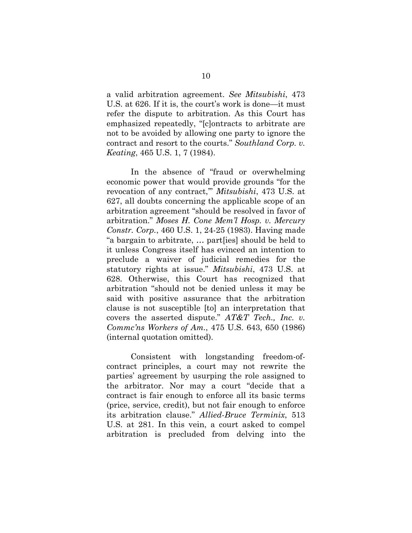a valid arbitration agreement. *See Mitsubishi*, 473 U.S. at 626. If it is, the court's work is done—it must refer the dispute to arbitration. As this Court has emphasized repeatedly, "[c]ontracts to arbitrate are not to be avoided by allowing one party to ignore the contract and resort to the courts." *Southland Corp. v. Keating*, 465 U.S. 1, 7 (1984).

 In the absence of "fraud or overwhelming economic power that would provide grounds "for the revocation of any contract,'" *Mitsubishi*, 473 U.S. at 627, all doubts concerning the applicable scope of an arbitration agreement "should be resolved in favor of arbitration." *Moses H. Cone Mem'l Hosp. v. Mercury Constr. Corp.*, 460 U.S. 1, 24-25 (1983). Having made "a bargain to arbitrate, … part[ies] should be held to it unless Congress itself has evinced an intention to preclude a waiver of judicial remedies for the statutory rights at issue." *Mitsubishi*, 473 U.S. at 628. Otherwise, this Court has recognized that arbitration "should not be denied unless it may be said with positive assurance that the arbitration clause is not susceptible [to] an interpretation that covers the asserted dispute." *AT&T Tech., Inc. v. Commc'ns Workers of Am.*, 475 U.S. 643, 650 (1986) (internal quotation omitted).

 Consistent with longstanding freedom-ofcontract principles, a court may not rewrite the parties' agreement by usurping the role assigned to the arbitrator. Nor may a court "decide that a contract is fair enough to enforce all its basic terms (price, service, credit), but not fair enough to enforce its arbitration clause." *Allied-Bruce Terminix*, 513 U.S. at 281. In this vein, a court asked to compel arbitration is precluded from delving into the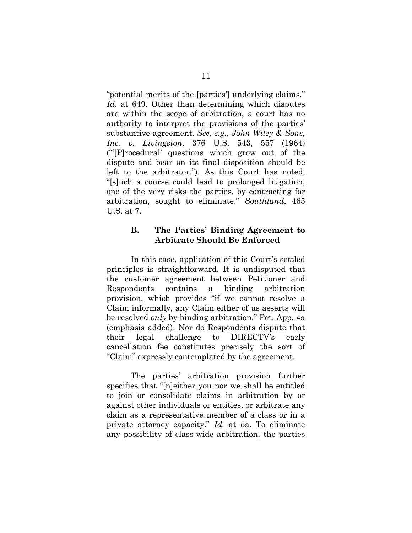"potential merits of the [parties'] underlying claims." *Id.* at 649. Other than determining which disputes are within the scope of arbitration, a court has no authority to interpret the provisions of the parties' substantive agreement. *See, e.g., John Wiley & Sons, Inc. v. Livingston*, 376 U.S. 543, 557 (1964) ("'[P]rocedural' questions which grow out of the dispute and bear on its final disposition should be left to the arbitrator."). As this Court has noted, "[s]uch a course could lead to prolonged litigation, one of the very risks the parties, by contracting for arbitration, sought to eliminate." *Southland*, 465 U.S. at 7.

### **B. The Parties' Binding Agreement to Arbitrate Should Be Enforced**

 In this case, application of this Court's settled principles is straightforward. It is undisputed that the customer agreement between Petitioner and Respondents contains a binding arbitration provision, which provides "if we cannot resolve a Claim informally, any Claim either of us asserts will be resolved *only* by binding arbitration." Pet. App. 4a (emphasis added). Nor do Respondents dispute that their legal challenge to DIRECTV's early cancellation fee constitutes precisely the sort of "Claim" expressly contemplated by the agreement.

The parties' arbitration provision further specifies that "[n]either you nor we shall be entitled to join or consolidate claims in arbitration by or against other individuals or entities, or arbitrate any claim as a representative member of a class or in a private attorney capacity." *Id.* at 5a. To eliminate any possibility of class-wide arbitration, the parties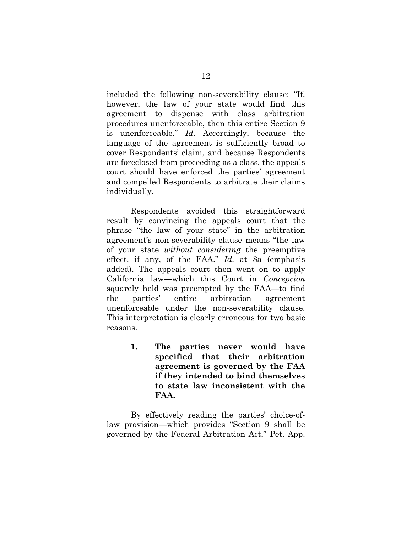included the following non-severability clause: "If, however, the law of your state would find this agreement to dispense with class arbitration procedures unenforceable, then this entire Section 9 is unenforceable." *Id.* Accordingly, because the language of the agreement is sufficiently broad to cover Respondents' claim, and because Respondents are foreclosed from proceeding as a class, the appeals court should have enforced the parties' agreement and compelled Respondents to arbitrate their claims individually.

Respondents avoided this straightforward result by convincing the appeals court that the phrase "the law of your state" in the arbitration agreement's non-severability clause means "the law of your state *without considering* the preemptive effect, if any, of the FAA." *Id.* at 8a (emphasis added). The appeals court then went on to apply California law—which this Court in *Concepcion* squarely held was preempted by the FAA—to find the parties' entire arbitration agreement unenforceable under the non-severability clause. This interpretation is clearly erroneous for two basic reasons.

> **1. The parties never would have specified that their arbitration agreement is governed by the FAA if they intended to bind themselves to state law inconsistent with the FAA.**

By effectively reading the parties' choice-oflaw provision—which provides "Section 9 shall be governed by the Federal Arbitration Act," Pet. App.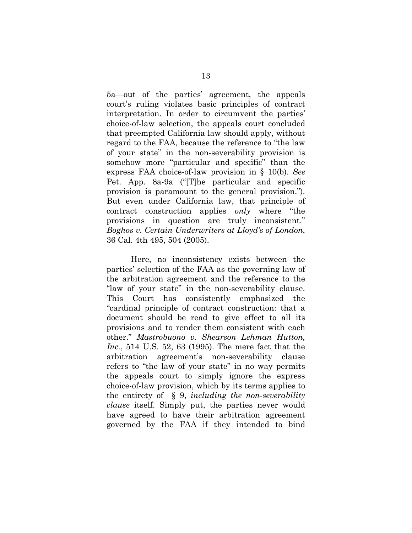5a—out of the parties' agreement, the appeals court's ruling violates basic principles of contract interpretation. In order to circumvent the parties' choice-of-law selection, the appeals court concluded that preempted California law should apply, without regard to the FAA, because the reference to "the law of your state" in the non-severability provision is somehow more "particular and specific" than the express FAA choice-of-law provision in § 10(b). *See*  Pet. App. 8a-9a ("[T]he particular and specific provision is paramount to the general provision."). But even under California law, that principle of contract construction applies *only* where "the provisions in question are truly inconsistent." *Boghos v. Certain Underwriters at Lloyd's of London*, 36 Cal. 4th 495, 504 (2005).

Here, no inconsistency exists between the parties' selection of the FAA as the governing law of the arbitration agreement and the reference to the "law of your state" in the non-severability clause. This Court has consistently emphasized the "cardinal principle of contract construction: that a document should be read to give effect to all its provisions and to render them consistent with each other." *Mastrobuono v. Shearson Lehman Hutton, Inc.*, 514 U.S. 52, 63 (1995). The mere fact that the arbitration agreement's non-severability clause refers to "the law of your state" in no way permits the appeals court to simply ignore the express choice-of-law provision, which by its terms applies to the entirety of § 9, *including the non-severability clause* itself. Simply put, the parties never would have agreed to have their arbitration agreement governed by the FAA if they intended to bind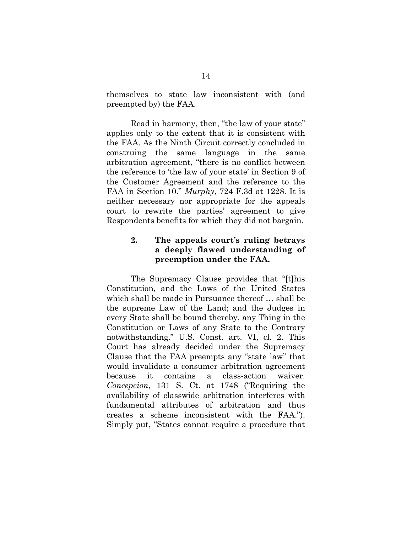themselves to state law inconsistent with (and preempted by) the FAA.

Read in harmony, then, "the law of your state" applies only to the extent that it is consistent with the FAA. As the Ninth Circuit correctly concluded in construing the same language in the same arbitration agreement, "there is no conflict between the reference to 'the law of your state' in Section 9 of the Customer Agreement and the reference to the FAA in Section 10." *Murphy*, 724 F.3d at 1228. It is neither necessary nor appropriate for the appeals court to rewrite the parties' agreement to give Respondents benefits for which they did not bargain.

## **2. The appeals court's ruling betrays a deeply flawed understanding of preemption under the FAA.**

The Supremacy Clause provides that "[t]his Constitution, and the Laws of the United States which shall be made in Pursuance thereof … shall be the supreme Law of the Land; and the Judges in every State shall be bound thereby, any Thing in the Constitution or Laws of any State to the Contrary notwithstanding." U.S. Const. art. VI, cl. 2. This Court has already decided under the Supremacy Clause that the FAA preempts any "state law" that would invalidate a consumer arbitration agreement because it contains a class-action waiver. *Concepcion*, 131 S. Ct. at 1748 ("Requiring the availability of classwide arbitration interferes with fundamental attributes of arbitration and thus creates a scheme inconsistent with the FAA."). Simply put, "States cannot require a procedure that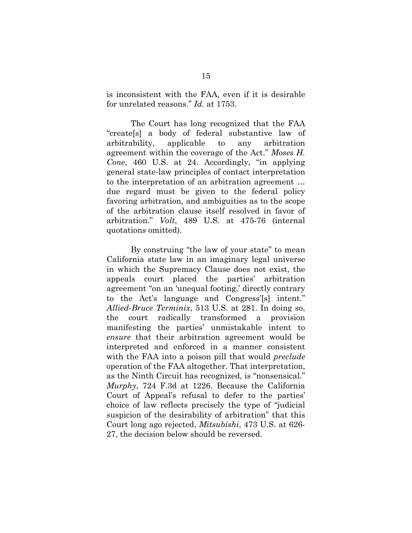is inconsistent with the FAA, even if it is desirable for unrelated reasons." *Id.* at 1753.

The Court has long recognized that the FAA "create[s] a body of federal substantive law of arbitrability, applicable to any arbitration agreement within the coverage of the Act." *Moses H. Cone*, 460 U.S. at 24. Accordingly, "in applying general state-law principles of contact interpretation to the interpretation of an arbitration agreement … due regard must be given to the federal policy favoring arbitration, and ambiguities as to the scope of the arbitration clause itself resolved in favor of arbitration." *Volt*, 489 U.S. at 475-76 (internal quotations omitted).

By construing "the law of your state" to mean California state law in an imaginary legal universe in which the Supremacy Clause does not exist, the appeals court placed the parties' arbitration agreement "on an 'unequal footing,' directly contrary to the Act's language and Congress'[s] intent." *Allied-Bruce Terminix*, 513 U.S. at 281. In doing so, the court radically transformed a provision manifesting the parties' unmistakable intent to *ensure* that their arbitration agreement would be interpreted and enforced in a manner consistent with the FAA into a poison pill that would *preclude* operation of the FAA altogether. That interpretation, as the Ninth Circuit has recognized, is "nonsensical." *Murphy*, 724 F.3d at 1226. Because the California Court of Appeal's refusal to defer to the parties' choice of law reflects precisely the type of "judicial suspicion of the desirability of arbitration" that this Court long ago rejected, *Mitsubishi*, 473 U.S. at 626- 27, the decision below should be reversed.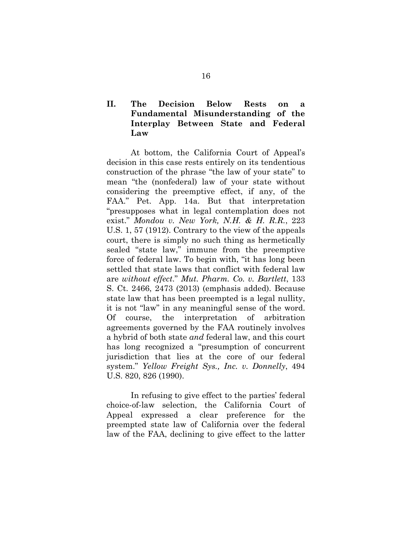## **II. The Decision Below Rests on a Fundamental Misunderstanding of the Interplay Between State and Federal Law**

At bottom, the California Court of Appeal's decision in this case rests entirely on its tendentious construction of the phrase "the law of your state" to mean "the (nonfederal) law of your state without considering the preemptive effect, if any, of the FAA." Pet. App. 14a. But that interpretation "presupposes what in legal contemplation does not exist." *Mondou v. New York, N.H. & H. R.R.*, 223 U.S. 1, 57 (1912). Contrary to the view of the appeals court, there is simply no such thing as hermetically sealed "state law," immune from the preemptive force of federal law. To begin with, "it has long been settled that state laws that conflict with federal law are *without effect*." *Mut. Pharm. Co. v. Bartlett*, 133 S. Ct. 2466, 2473 (2013) (emphasis added). Because state law that has been preempted is a legal nullity, it is not "law" in any meaningful sense of the word. Of course, the interpretation of arbitration agreements governed by the FAA routinely involves a hybrid of both state *and* federal law, and this court has long recognized a "presumption of concurrent jurisdiction that lies at the core of our federal system." *Yellow Freight Sys., Inc. v. Donnelly*, 494 U.S. 820, 826 (1990).

In refusing to give effect to the parties' federal choice-of-law selection, the California Court of Appeal expressed a clear preference for the preempted state law of California over the federal law of the FAA, declining to give effect to the latter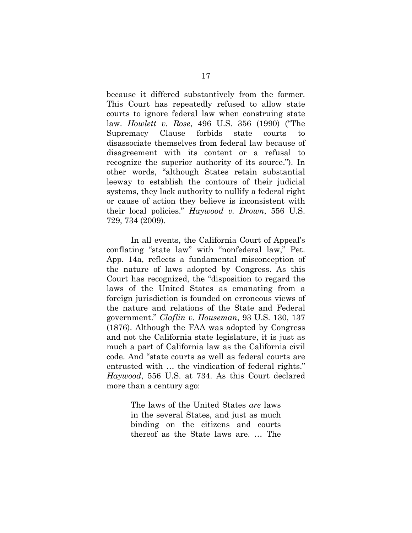because it differed substantively from the former. This Court has repeatedly refused to allow state courts to ignore federal law when construing state law. *Howlett v. Rose*, 496 U.S. 356 (1990) ("The Supremacy Clause forbids state courts to disassociate themselves from federal law because of disagreement with its content or a refusal to recognize the superior authority of its source."). In other words, "although States retain substantial leeway to establish the contours of their judicial systems, they lack authority to nullify a federal right or cause of action they believe is inconsistent with their local policies." *Haywood v. Drown*, 556 U.S. 729, 734 (2009).

In all events, the California Court of Appeal's conflating "state law" with "nonfederal law," Pet. App. 14a, reflects a fundamental misconception of the nature of laws adopted by Congress. As this Court has recognized, the "disposition to regard the laws of the United States as emanating from a foreign jurisdiction is founded on erroneous views of the nature and relations of the State and Federal government." *Claflin v. Houseman*, 93 U.S. 130, 137 (1876). Although the FAA was adopted by Congress and not the California state legislature, it is just as much a part of California law as the California civil code. And "state courts as well as federal courts are entrusted with … the vindication of federal rights." *Haywood*, 556 U.S. at 734. As this Court declared more than a century ago:

> The laws of the United States *are* laws in the several States, and just as much binding on the citizens and courts thereof as the State laws are. … The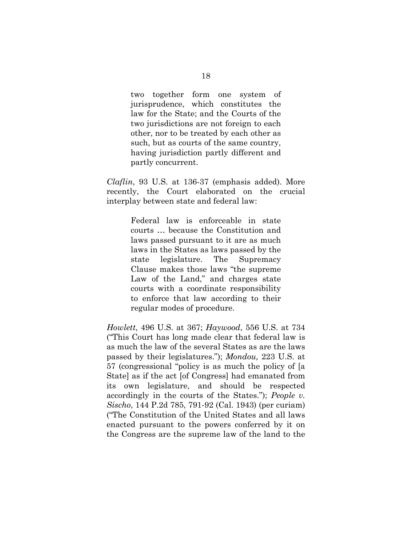two together form one system of jurisprudence, which constitutes the law for the State; and the Courts of the two jurisdictions are not foreign to each other, nor to be treated by each other as such, but as courts of the same country, having jurisdiction partly different and partly concurrent.

*Claflin*, 93 U.S. at 136-37 (emphasis added). More recently, the Court elaborated on the crucial interplay between state and federal law:

> Federal law is enforceable in state courts … because the Constitution and laws passed pursuant to it are as much laws in the States as laws passed by the state legislature. The Supremacy Clause makes those laws "the supreme Law of the Land," and charges state courts with a coordinate responsibility to enforce that law according to their regular modes of procedure.

*Howlett*, 496 U.S. at 367; *Haywood*, 556 U.S. at 734 ("This Court has long made clear that federal law is as much the law of the several States as are the laws passed by their legislatures."); *Mondou,* 223 U.S. at 57 (congressional "policy is as much the policy of [a State] as if the act [of Congress] had emanated from its own legislature, and should be respected accordingly in the courts of the States."); *People v. Sischo*, 144 P.2d 785, 791-92 (Cal. 1943) (per curiam) ("The Constitution of the United States and all laws enacted pursuant to the powers conferred by it on the Congress are the supreme law of the land to the